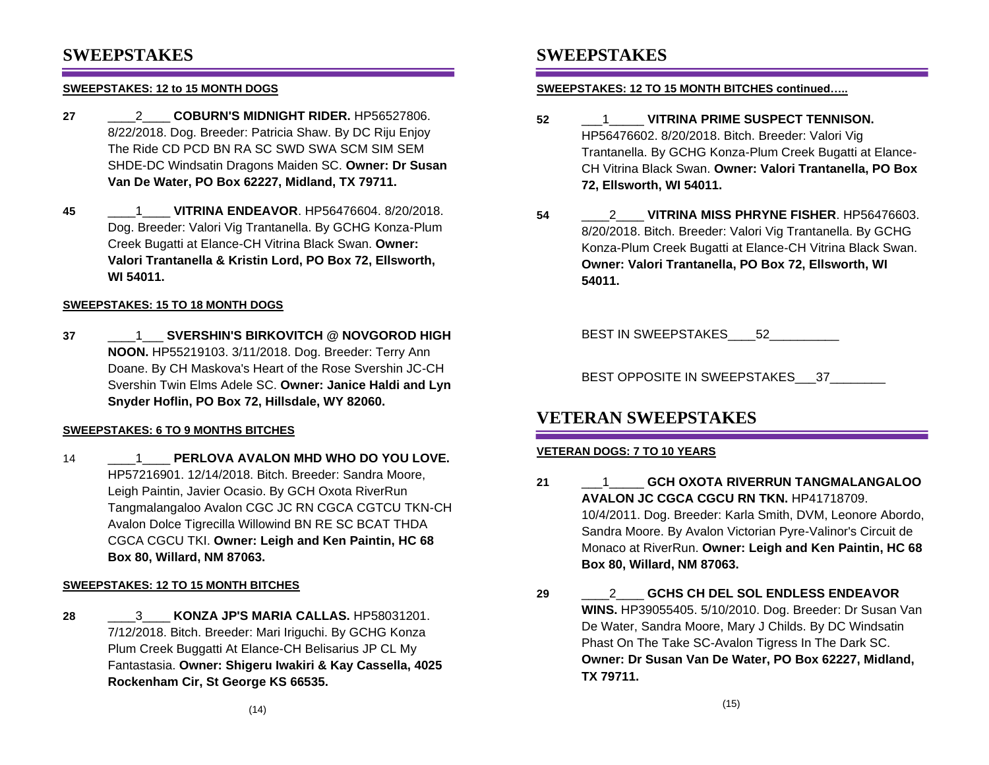### **SWEEPSTAKES**

### **SWEEPSTAKES: 12 to 15 MONTH DOGS**

- **27** \_\_\_\_2\_\_\_\_ **COBURN'S MIDNIGHT RIDER.** HP56527806. 8/22/2018. Dog. Breeder: Patricia Shaw. By DC Riju Enjoy The Ride CD PCD BN RA SC SWD SWA SCM SIM SEM SHDE-DC Windsatin Dragons Maiden SC. **Owner: Dr Susan Van De Water, PO Box 62227, Midland, TX 79711.**
- **45** \_\_\_\_1\_\_\_\_ **VITRINA ENDEAVOR**. HP56476604. 8/20/2018. Dog. Breeder: Valori Vig Trantanella. By GCHG Konza-Plum Creek Bugatti at Elance-CH Vitrina Black Swan. **Owner: Valori Trantanella & Kristin Lord, PO Box 72, Ellsworth, WI 54011.**

### **SWEEPSTAKES: 15 TO 18 MONTH DOGS**

**37** \_\_\_\_1\_\_\_ **SVERSHIN'S BIRKOVITCH @ NOVGOROD HIGH NOON.** HP55219103. 3/11/2018. Dog. Breeder: Terry Ann Doane. By CH Maskova's Heart of the Rose Svershin JC-CH Svershin Twin Elms Adele SC. **Owner: Janice Haldi and Lyn Snyder Hoflin, PO Box 72, Hillsdale, WY 82060.**

### **SWEEPSTAKES: 6 TO 9 MONTHS BITCHES**

14 \_\_\_\_1\_\_\_\_ **PERLOVA AVALON MHD WHO DO YOU LOVE.** HP57216901. 12/14/2018. Bitch. Breeder: Sandra Moore, Leigh Paintin, Javier Ocasio. By GCH Oxota RiverRun Tangmalangaloo Avalon CGC JC RN CGCA CGTCU TKN-CH Avalon Dolce Tigrecilla Willowind BN RE SC BCAT THDA CGCA CGCU TKI. **Owner: Leigh and Ken Paintin, HC 68 Box 80, Willard, NM 87063.**

### **SWEEPSTAKES: 12 TO 15 MONTH BITCHES**

**28** \_\_\_\_3\_\_\_\_ **KONZA JP'S MARIA CALLAS.** HP58031201. 7/12/2018. Bitch. Breeder: Mari Iriguchi. By GCHG Konza Plum Creek Buggatti At Elance-CH Belisarius JP CL My Fantastasia. **Owner: Shigeru Iwakiri & Kay Cassella, 4025 Rockenham Cir, St George KS 66535.**

## **SWEEPSTAKES**

### **SWEEPSTAKES: 12 TO 15 MONTH BITCHES continued…..**

- **52** \_\_\_1\_\_\_\_\_ **VITRINA PRIME SUSPECT TENNISON.** HP56476602. 8/20/2018. Bitch. Breeder: Valori Vig Trantanella. By GCHG Konza-Plum Creek Bugatti at Elance-CH Vitrina Black Swan. **Owner: Valori Trantanella, PO Box 72, Ellsworth, WI 54011.**
- **54** \_\_\_\_2\_\_\_\_ **VITRINA MISS PHRYNE FISHER**. HP56476603. 8/20/2018. Bitch. Breeder: Valori Vig Trantanella. By GCHG Konza-Plum Creek Bugatti at Elance-CH Vitrina Black Swan. **Owner: Valori Trantanella, PO Box 72, Ellsworth, WI 54011.**

BEST IN SWEEPSTAKES 52

BEST OPPOSITE IN SWEEPSTAKES 37

## **VETERAN SWEEPSTAKES**

### **VETERAN DOGS: 7 TO 10 YEARS**

- **21** \_\_\_1\_\_\_\_\_ **GCH OXOTA RIVERRUN TANGMALANGALOO AVALON JC CGCA CGCU RN TKN.** HP41718709. 10/4/2011. Dog. Breeder: Karla Smith, DVM, Leonore Abordo, Sandra Moore. By Avalon Victorian Pyre-Valinor's Circuit de Monaco at RiverRun. **Owner: Leigh and Ken Paintin, HC 68 Box 80, Willard, NM 87063.**
- **29** \_\_\_\_2\_\_\_\_ **GCHS CH DEL SOL ENDLESS ENDEAVOR WINS.** HP39055405. 5/10/2010. Dog. Breeder: Dr Susan Van De Water, Sandra Moore, Mary J Childs. By DC Windsatin Phast On The Take SC-Avalon Tigress In The Dark SC. **Owner: Dr Susan Van De Water, PO Box 62227, Midland, TX 79711.**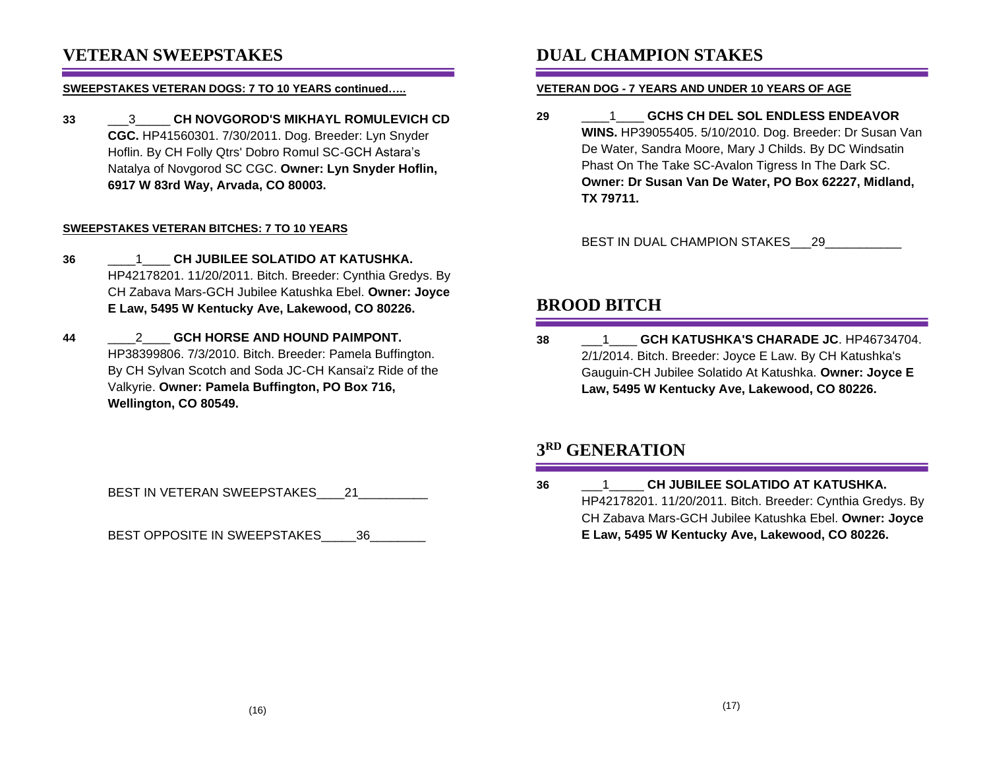## **VETERAN SWEEPSTAKES**

#### **SWEEPSTAKES VETERAN DOGS: 7 TO 10 YEARS continued…..**

**33** \_\_\_3\_\_\_\_\_ **CH NOVGOROD'S MIKHAYL ROMULEVICH CD CGC.** HP41560301. 7/30/2011. Dog. Breeder: Lyn Snyder Hoflin. By CH Folly Qtrs' Dobro Romul SC-GCH Astara's Natalya of Novgorod SC CGC. **Owner: Lyn Snyder Hoflin, 6917 W 83rd Way, Arvada, CO 80003.**

### **SWEEPSTAKES VETERAN BITCHES: 7 TO 10 YEARS**

- **36** \_\_\_\_1\_\_\_\_ **CH JUBILEE SOLATIDO AT KATUSHKA.** HP42178201. 11/20/2011. Bitch. Breeder: Cynthia Gredys. By CH Zabava Mars-GCH Jubilee Katushka Ebel. **Owner: Joyce E Law, 5495 W Kentucky Ave, Lakewood, CO 80226.**
- **44** \_\_\_\_2\_\_\_\_ **GCH HORSE AND HOUND PAIMPONT.** HP38399806. 7/3/2010. Bitch. Breeder: Pamela Buffington. By CH Sylvan Scotch and Soda JC-CH Kansai'z Ride of the Valkyrie. **Owner: Pamela Buffington, PO Box 716, Wellington, CO 80549.**

BEST IN VETERAN SWEEPSTAKES\_\_\_\_21\_\_\_\_\_\_\_

BEST OPPOSITE IN SWEEPSTAKES 36

# **DUAL CHAMPION STAKES**

### **VETERAN DOG - 7 YEARS AND UNDER 10 YEARS OF AGE**

**29** \_\_\_\_1\_\_\_\_ **GCHS CH DEL SOL ENDLESS ENDEAVOR WINS.** HP39055405. 5/10/2010. Dog. Breeder: Dr Susan Van De Water, Sandra Moore, Mary J Childs. By DC Windsatin Phast On The Take SC-Avalon Tigress In The Dark SC. **Owner: Dr Susan Van De Water, PO Box 62227, Midland, TX 79711.**

BEST IN DUAL CHAMPION STAKES 29

# **BROOD BITCH**

**38** \_\_\_1\_\_\_\_ **GCH KATUSHKA'S CHARADE JC**. HP46734704. 2/1/2014. Bitch. Breeder: Joyce E Law. By CH Katushka's Gauguin-CH Jubilee Solatido At Katushka. **Owner: Joyce E Law, 5495 W Kentucky Ave, Lakewood, CO 80226.**

# **3 RD GENERATION**

**36** \_\_\_1\_\_\_\_\_ **CH JUBILEE SOLATIDO AT KATUSHKA.** HP42178201. 11/20/2011. Bitch. Breeder: Cynthia Gredys. By CH Zabava Mars-GCH Jubilee Katushka Ebel. **Owner: Joyce E Law, 5495 W Kentucky Ave, Lakewood, CO 80226.**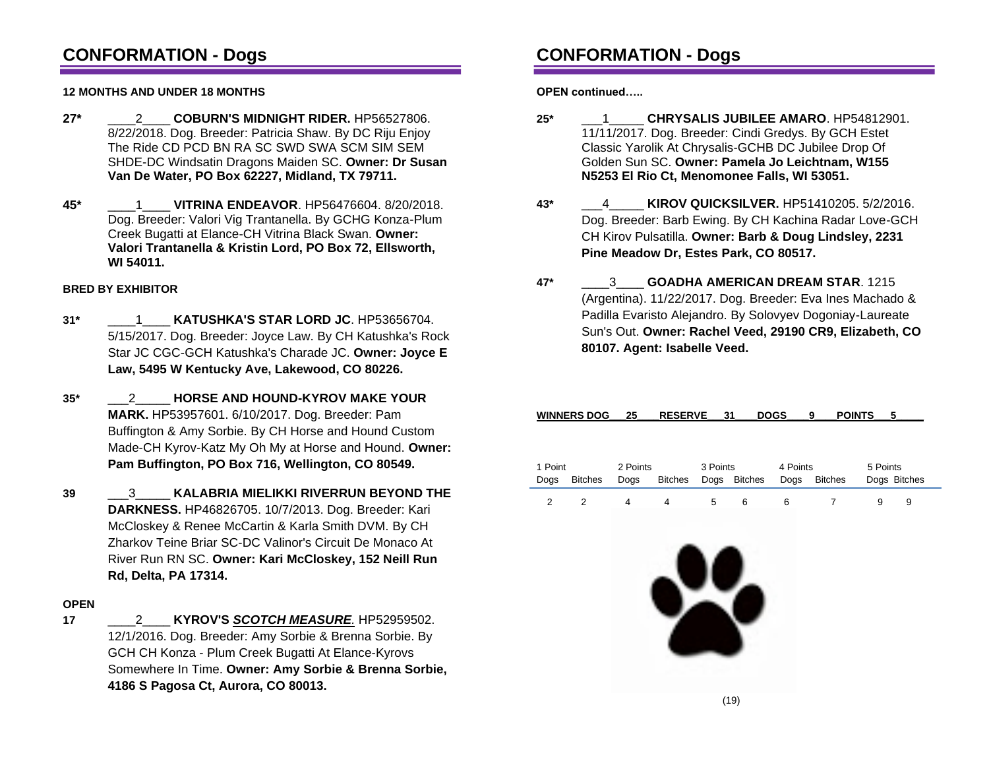# **CONFORMATION - Dogs**

### **12 MONTHS AND UNDER 18 MONTHS**

- **27\*** \_\_\_\_2\_\_\_\_ **COBURN'S MIDNIGHT RIDER.** HP56527806. 8/22/2018. Dog. Breeder: Patricia Shaw. By DC Riju Enjoy The Ride CD PCD BN RA SC SWD SWA SCM SIM SEM SHDE-DC Windsatin Dragons Maiden SC. **Owner: Dr Susan Van De Water, PO Box 62227, Midland, TX 79711.**
- **45\*** \_\_\_\_1\_\_\_\_ **VITRINA ENDEAVOR**. HP56476604. 8/20/2018. Dog. Breeder: Valori Vig Trantanella. By GCHG Konza-Plum Creek Bugatti at Elance-CH Vitrina Black Swan. **Owner: Valori Trantanella & Kristin Lord, PO Box 72, Ellsworth, WI 54011.**

### **BRED BY EXHIBITOR**

- **31\*** \_\_\_\_1\_\_\_\_ **KATUSHKA'S STAR LORD JC**. HP53656704. 5/15/2017. Dog. Breeder: Joyce Law. By CH Katushka's Rock Star JC CGC-GCH Katushka's Charade JC. **Owner: Joyce E Law, 5495 W Kentucky Ave, Lakewood, CO 80226.**
- **35\*** \_\_\_2\_\_\_\_\_ **HORSE AND HOUND-KYROV MAKE YOUR MARK.** HP53957601. 6/10/2017. Dog. Breeder: Pam Buffington & Amy Sorbie. By CH Horse and Hound Custom Made-CH Kyrov-Katz My Oh My at Horse and Hound. **Owner: Pam Buffington, PO Box 716, Wellington, CO 80549.**
- **39** \_\_\_3\_\_\_\_\_ **KALABRIA MIELIKKI RIVERRUN BEYOND THE DARKNESS.** HP46826705. 10/7/2013. Dog. Breeder: Kari McCloskey & Renee McCartin & Karla Smith DVM. By CH Zharkov Teine Briar SC-DC Valinor's Circuit De Monaco At River Run RN SC. **Owner: Kari McCloskey, 152 Neill Run Rd, Delta, PA 17314.**

### **OPEN**

**17** \_\_\_\_2\_\_\_\_ **KYROV'S** *SCOTCH MEASURE.* HP52959502. 12/1/2016. Dog. Breeder: Amy Sorbie & Brenna Sorbie. By GCH CH Konza - Plum Creek Bugatti At Elance-Kyrovs Somewhere In Time. **Owner: Amy Sorbie & Brenna Sorbie, 4186 S Pagosa Ct, Aurora, CO 80013.**

# **CONFORMATION - Dogs**

**OPEN continued…..**

- **25\*** \_\_\_1\_\_\_\_\_ **CHRYSALIS JUBILEE AMARO**. HP54812901. 11/11/2017. Dog. Breeder: Cindi Gredys. By GCH Estet Classic Yarolik At Chrysalis-GCHB DC Jubilee Drop Of Golden Sun SC. **Owner: Pamela Jo Leichtnam, W155 N5253 El Rio Ct, Menomonee Falls, WI 53051.**
- **43\*** \_\_\_4\_\_\_\_\_ **KIROV QUICKSILVER.** HP51410205. 5/2/2016. Dog. Breeder: Barb Ewing. By CH Kachina Radar Love-GCH CH Kirov Pulsatilla. **Owner: Barb & Doug Lindsley, 2231 Pine Meadow Dr, Estes Park, CO 80517.**
- **47\*** \_\_\_\_3\_\_\_\_ **GOADHA AMERICAN DREAM STAR**. 1215 (Argentina). 11/22/2017. Dog. Breeder: Eva Ines Machado & Padilla Evaristo Alejandro. By Solovyev Dogoniay-Laureate Sun's Out. **Owner: Rachel Veed, 29190 CR9, Elizabeth, CO 80107. Agent: Isabelle Veed.**

| 5 Points     |
|--------------|
| Dogs Bitches |
| 9            |
| 5            |

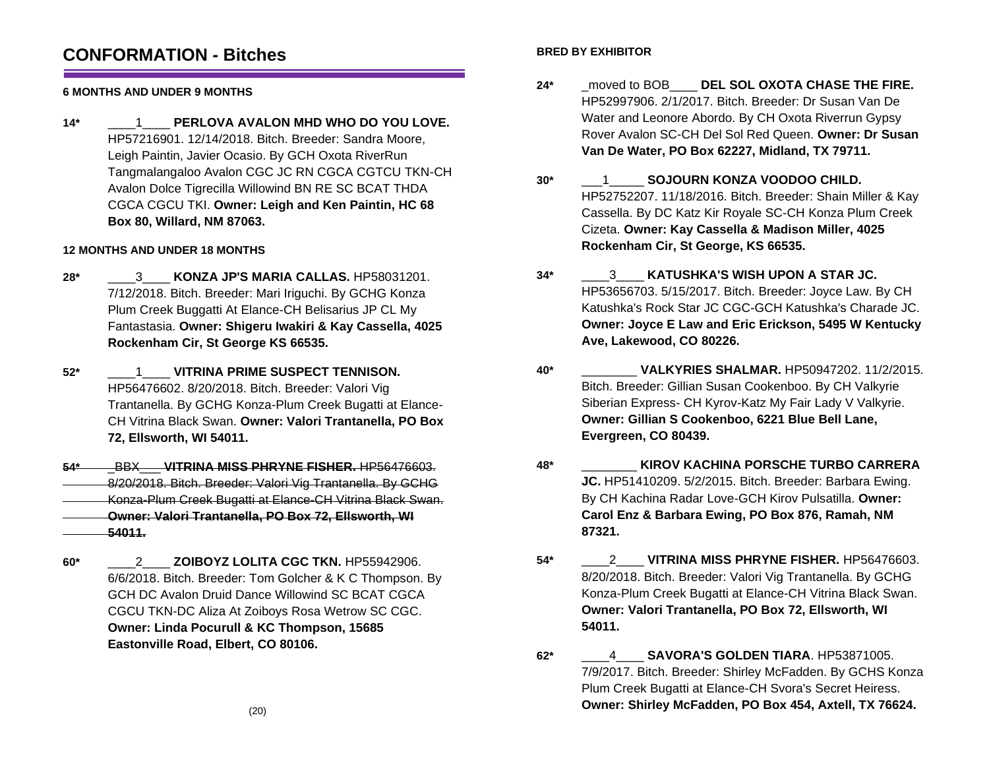## **CONFORMATION - Bitches**

### **6 MONTHS AND UNDER 9 MONTHS**

**14\*** \_\_\_\_1\_\_\_\_ **PERLOVA AVALON MHD WHO DO YOU LOVE.** HP57216901. 12/14/2018. Bitch. Breeder: Sandra Moore, Leigh Paintin, Javier Ocasio. By GCH Oxota RiverRun Tangmalangaloo Avalon CGC JC RN CGCA CGTCU TKN-CH Avalon Dolce Tigrecilla Willowind BN RE SC BCAT THDA CGCA CGCU TKI. **Owner: Leigh and Ken Paintin, HC 68 Box 80, Willard, NM 87063.**

### **12 MONTHS AND UNDER 18 MONTHS**

- **28\*** \_\_\_\_3\_\_\_\_ **KONZA JP'S MARIA CALLAS.** HP58031201. 7/12/2018. Bitch. Breeder: Mari Iriguchi. By GCHG Konza Plum Creek Buggatti At Elance-CH Belisarius JP CL My Fantastasia. **Owner: Shigeru Iwakiri & Kay Cassella, 4025 Rockenham Cir, St George KS 66535.**
- **52\*** \_\_\_\_1\_\_\_\_ **VITRINA PRIME SUSPECT TENNISON.** HP56476602. 8/20/2018. Bitch. Breeder: Valori Vig Trantanella. By GCHG Konza-Plum Creek Bugatti at Elance-CH Vitrina Black Swan. **Owner: Valori Trantanella, PO Box 72, Ellsworth, WI 54011.**
- **54\*** \_BBX\_\_\_ **VITRINA MISS PHRYNE FISHER.** HP56476603. 8/20/2018. Bitch. Breeder: Valori Vig Trantanella. By GCHG Konza-Plum Creek Bugatti at Elance-CH Vitrina Black Swan. **Owner: Valori Trantanella, PO Box 72, Ellsworth, WI 54011.**
- **60\*** \_\_\_\_2\_\_\_\_ **ZOIBOYZ LOLITA CGC TKN.** HP55942906. 6/6/2018. Bitch. Breeder: Tom Golcher & K C Thompson. By GCH DC Avalon Druid Dance Willowind SC BCAT CGCA CGCU TKN-DC Aliza At Zoiboys Rosa Wetrow SC CGC. **Owner: Linda Pocurull & KC Thompson, 15685 Eastonville Road, Elbert, CO 80106.**

### **BRED BY EXHIBITOR**

- **24\*** \_moved to BOB\_\_\_\_ **DEL SOL OXOTA CHASE THE FIRE.** HP52997906. 2/1/2017. Bitch. Breeder: Dr Susan Van De Water and Leonore Abordo. By CH Oxota Riverrun Gypsy Rover Avalon SC-CH Del Sol Red Queen. **Owner: Dr Susan Van De Water, PO Box 62227, Midland, TX 79711.**
- **30\*** \_\_\_1\_\_\_\_\_ **SOJOURN KONZA VOODOO CHILD.** HP52752207. 11/18/2016. Bitch. Breeder: Shain Miller & Kay Cassella. By DC Katz Kir Royale SC-CH Konza Plum Creek Cizeta. **Owner: Kay Cassella & Madison Miller, 4025 Rockenham Cir, St George, KS 66535.**
- **34\*** \_\_\_\_3\_\_\_\_ **KATUSHKA'S WISH UPON A STAR JC.** HP53656703. 5/15/2017. Bitch. Breeder: Joyce Law. By CH Katushka's Rock Star JC CGC-GCH Katushka's Charade JC. **Owner: Joyce E Law and Eric Erickson, 5495 W Kentucky Ave, Lakewood, CO 80226.**
- **40\*** \_\_\_\_\_\_\_\_ **VALKYRIES SHALMAR.** HP50947202. 11/2/2015. Bitch. Breeder: Gillian Susan Cookenboo. By CH Valkyrie Siberian Express- CH Kyrov-Katz My Fair Lady V Valkyrie. **Owner: Gillian S Cookenboo, 6221 Blue Bell Lane, Evergreen, CO 80439.**
- **48\*** \_\_\_\_\_\_\_\_ **KIROV KACHINA PORSCHE TURBO CARRERA JC.** HP51410209. 5/2/2015. Bitch. Breeder: Barbara Ewing. By CH Kachina Radar Love-GCH Kirov Pulsatilla. **Owner: Carol Enz & Barbara Ewing, PO Box 876, Ramah, NM 87321.**
- **54\*** \_\_\_\_2\_\_\_\_ **VITRINA MISS PHRYNE FISHER.** HP56476603. 8/20/2018. Bitch. Breeder: Valori Vig Trantanella. By GCHG Konza-Plum Creek Bugatti at Elance-CH Vitrina Black Swan. **Owner: Valori Trantanella, PO Box 72, Ellsworth, WI 54011.**
- **62\*** \_\_\_\_4\_\_\_\_ **SAVORA'S GOLDEN TIARA**. HP53871005. 7/9/2017. Bitch. Breeder: Shirley McFadden. By GCHS Konza Plum Creek Bugatti at Elance-CH Svora's Secret Heiress. **Owner: Shirley McFadden, PO Box 454, Axtell, TX 76624.**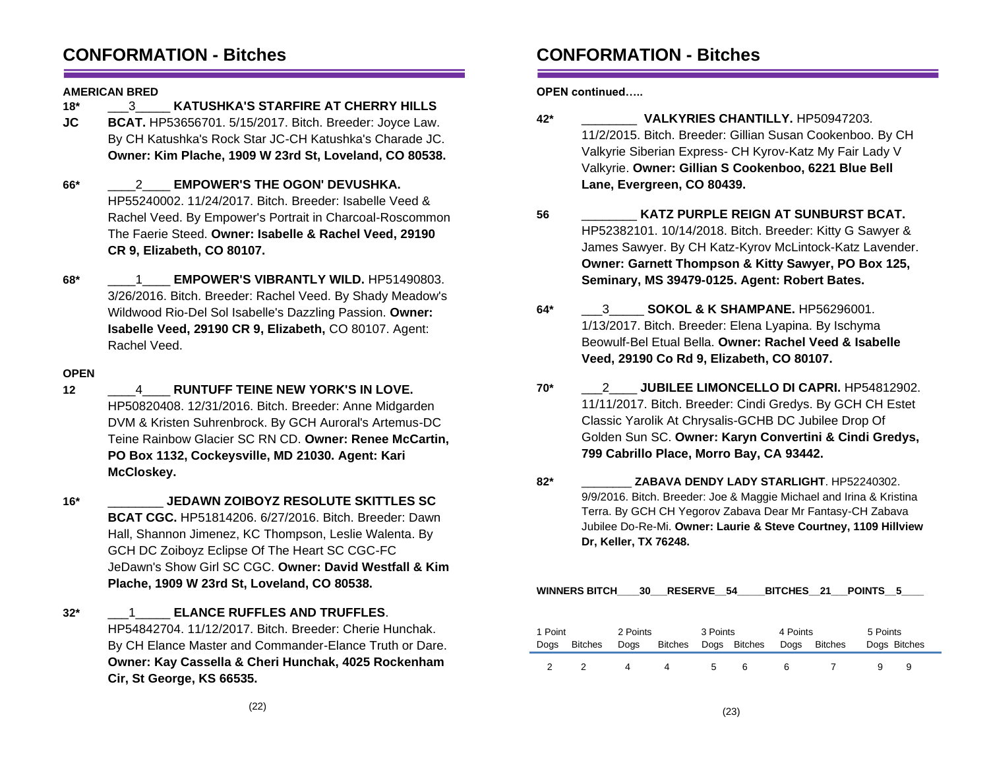## **CONFORMATION - Bitches**

#### **AMERICAN BRED**

- **18\*** \_\_\_3\_\_\_\_\_ **KATUSHKA'S STARFIRE AT CHERRY HILLS**
- **JC BCAT.** HP53656701. 5/15/2017. Bitch. Breeder: Joyce Law. By CH Katushka's Rock Star JC-CH Katushka's Charade JC. **Owner: Kim Plache, 1909 W 23rd St, Loveland, CO 80538.**
- **66\*** \_\_\_\_2\_\_\_\_ **EMPOWER'S THE OGON' DEVUSHKA.** HP55240002. 11/24/2017. Bitch. Breeder: Isabelle Veed & Rachel Veed. By Empower's Portrait in Charcoal-Roscommon The Faerie Steed. **Owner: Isabelle & Rachel Veed, 29190 CR 9, Elizabeth, CO 80107.**
- **68\*** \_\_\_\_1\_\_\_\_ **EMPOWER'S VIBRANTLY WILD.** HP51490803. 3/26/2016. Bitch. Breeder: Rachel Veed. By Shady Meadow's Wildwood Rio-Del Sol Isabelle's Dazzling Passion. **Owner: Isabelle Veed, 29190 CR 9, Elizabeth,** CO 80107. Agent: Rachel Veed.

### **OPEN**

- **12** \_\_\_\_4\_\_\_\_ **RUNTUFF TEINE NEW YORK'S IN LOVE.** HP50820408. 12/31/2016. Bitch. Breeder: Anne Midgarden DVM & Kristen Suhrenbrock. By GCH Auroral's Artemus-DC Teine Rainbow Glacier SC RN CD. **Owner: Renee McCartin, PO Box 1132, Cockeysville, MD 21030. Agent: Kari McCloskey.**
- **16\*** \_\_\_\_\_\_\_\_ **JEDAWN ZOIBOYZ RESOLUTE SKITTLES SC BCAT CGC.** HP51814206. 6/27/2016. Bitch. Breeder: Dawn Hall, Shannon Jimenez, KC Thompson, Leslie Walenta. By GCH DC Zoiboyz Eclipse Of The Heart SC CGC-FC JeDawn's Show Girl SC CGC. **Owner: David Westfall & Kim Plache, 1909 W 23rd St, Loveland, CO 80538.**
- **32\*** \_\_\_1\_\_\_\_\_ **ELANCE RUFFLES AND TRUFFLES**. HP54842704. 11/12/2017. Bitch. Breeder: Cherie Hunchak. By CH Elance Master and Commander-Elance Truth or Dare. **Owner: Kay Cassella & Cheri Hunchak, 4025 Rockenham Cir, St George, KS 66535.**

# **CONFORMATION - Bitches**

**OPEN continued…..**

- **42\*** \_\_\_\_\_\_\_\_ **VALKYRIES CHANTILLY.** HP50947203. 11/2/2015. Bitch. Breeder: Gillian Susan Cookenboo. By CH Valkyrie Siberian Express- CH Kyrov-Katz My Fair Lady V Valkyrie. **Owner: Gillian S Cookenboo, 6221 Blue Bell Lane, Evergreen, CO 80439.**
- **56** \_\_\_\_\_\_\_\_ **KATZ PURPLE REIGN AT SUNBURST BCAT.** HP52382101. 10/14/2018. Bitch. Breeder: Kitty G Sawyer & James Sawyer. By CH Katz-Kyrov McLintock-Katz Lavender. **Owner: Garnett Thompson & Kitty Sawyer, PO Box 125, Seminary, MS 39479-0125. Agent: Robert Bates.**
- **64\*** \_\_\_3\_\_\_\_\_ **SOKOL & K SHAMPANE.** HP56296001. 1/13/2017. Bitch. Breeder: Elena Lyapina. By Ischyma Beowulf-Bel Etual Bella. **Owner: Rachel Veed & Isabelle Veed, 29190 Co Rd 9, Elizabeth, CO 80107.**
- **70\*** \_\_\_2\_\_\_\_ **JUBILEE LIMONCELLO DI CAPRI.** HP54812902. 11/11/2017. Bitch. Breeder: Cindi Gredys. By GCH CH Estet Classic Yarolik At Chrysalis-GCHB DC Jubilee Drop Of Golden Sun SC. **Owner: Karyn Convertini & Cindi Gredys, 799 Cabrillo Place, Morro Bay, CA 93442.**
- **82\*** \_\_\_\_\_\_\_\_ **ZABAVA DENDY LADY STARLIGHT**. HP52240302. 9/9/2016. Bitch. Breeder: Joe & Maggie Michael and Irina & Kristina Terra. By GCH CH Yegorov Zabava Dear Mr Fantasy-CH Zabava Jubilee Do-Re-Mi. **Owner: Laurie & Steve Courtney, 1109 Hillview Dr, Keller, TX 76248.**

| WINNERS BITCH 30 RESERVE 54<br>BITCHES 21 POINTS 5 |                |                  |                |          |              |                  |                |                          |   |
|----------------------------------------------------|----------------|------------------|----------------|----------|--------------|------------------|----------------|--------------------------|---|
| 1 Point<br>Dogs                                    | <b>Bitches</b> | 2 Points<br>Dogs | <b>Bitches</b> | 3 Points | Dogs Bitches | 4 Points<br>Dogs | <b>Bitches</b> | 5 Points<br>Dogs Bitches |   |
| $\mathcal{P}$                                      |                | 4                | 4              | 5        | 6            | 6                |                |                          | 9 |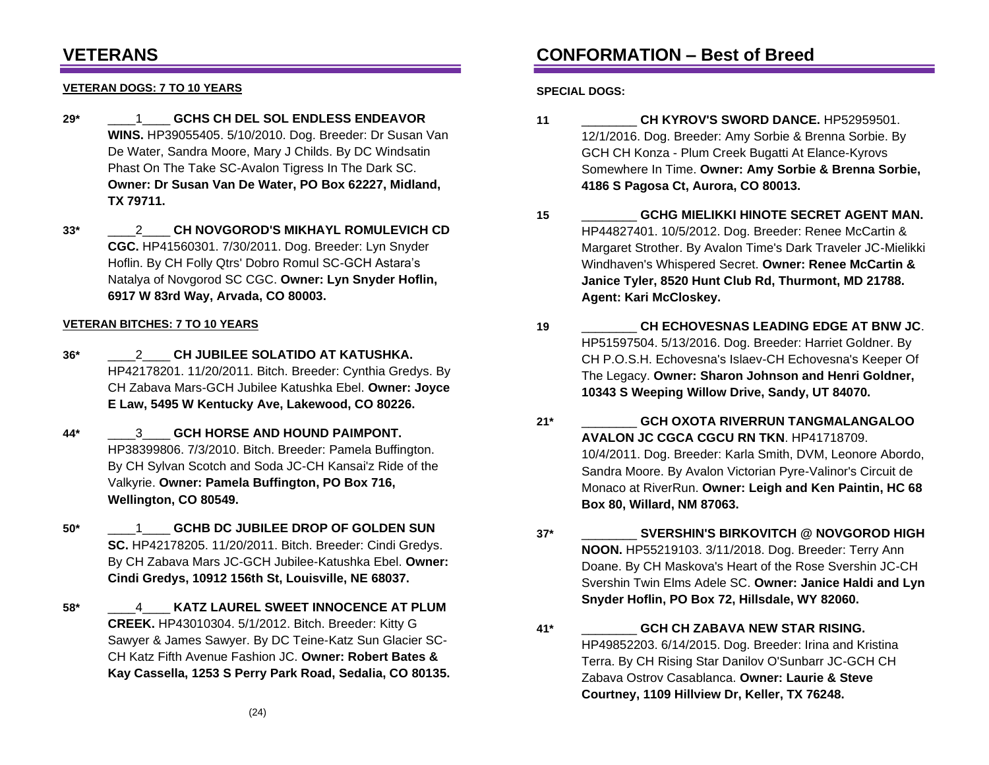## **VETERANS**

### **VETERAN DOGS: 7 TO 10 YEARS**

- **29\*** \_\_\_\_1\_\_\_\_ **GCHS CH DEL SOL ENDLESS ENDEAVOR WINS.** HP39055405. 5/10/2010. Dog. Breeder: Dr Susan Van De Water, Sandra Moore, Mary J Childs. By DC Windsatin Phast On The Take SC-Avalon Tigress In The Dark SC. **Owner: Dr Susan Van De Water, PO Box 62227, Midland, TX 79711.**
- **33\*** \_\_\_\_2\_\_\_\_ **CH NOVGOROD'S MIKHAYL ROMULEVICH CD CGC.** HP41560301. 7/30/2011. Dog. Breeder: Lyn Snyder Hoflin. By CH Folly Qtrs' Dobro Romul SC-GCH Astara's Natalya of Novgorod SC CGC. **Owner: Lyn Snyder Hoflin, 6917 W 83rd Way, Arvada, CO 80003.**

#### **VETERAN BITCHES: 7 TO 10 YEARS**

- **36\*** \_\_\_\_2\_\_\_\_ **CH JUBILEE SOLATIDO AT KATUSHKA.** HP42178201. 11/20/2011. Bitch. Breeder: Cynthia Gredys. By CH Zabava Mars-GCH Jubilee Katushka Ebel. **Owner: Joyce E Law, 5495 W Kentucky Ave, Lakewood, CO 80226.**
- **44\*** \_\_\_\_3\_\_\_\_ **GCH HORSE AND HOUND PAIMPONT.** HP38399806. 7/3/2010. Bitch. Breeder: Pamela Buffington. By CH Sylvan Scotch and Soda JC-CH Kansai'z Ride of the Valkyrie. **Owner: Pamela Buffington, PO Box 716, Wellington, CO 80549.**
- **50\*** \_\_\_\_1\_\_\_\_ **GCHB DC JUBILEE DROP OF GOLDEN SUN SC.** HP42178205. 11/20/2011. Bitch. Breeder: Cindi Gredys. By CH Zabava Mars JC-GCH Jubilee-Katushka Ebel. **Owner: Cindi Gredys, 10912 156th St, Louisville, NE 68037.**
- **58\*** \_\_\_\_4\_\_\_\_ **KATZ LAUREL SWEET INNOCENCE AT PLUM CREEK.** HP43010304. 5/1/2012. Bitch. Breeder: Kitty G Sawyer & James Sawyer. By DC Teine-Katz Sun Glacier SC-CH Katz Fifth Avenue Fashion JC. **Owner: Robert Bates & Kay Cassella, 1253 S Perry Park Road, Sedalia, CO 80135.**

## **CONFORMATION – Best of Breed**

**SPECIAL DOGS:**

- **11** \_\_\_\_\_\_\_\_ **CH KYROV'S SWORD DANCE.** HP52959501. 12/1/2016. Dog. Breeder: Amy Sorbie & Brenna Sorbie. By GCH CH Konza - Plum Creek Bugatti At Elance-Kyrovs Somewhere In Time. **Owner: Amy Sorbie & Brenna Sorbie, 4186 S Pagosa Ct, Aurora, CO 80013.**
- **15** \_\_\_\_\_\_\_\_ **GCHG MIELIKKI HINOTE SECRET AGENT MAN.** HP44827401. 10/5/2012. Dog. Breeder: Renee McCartin & Margaret Strother. By Avalon Time's Dark Traveler JC-Mielikki Windhaven's Whispered Secret. **Owner: Renee McCartin & Janice Tyler, 8520 Hunt Club Rd, Thurmont, MD 21788. Agent: Kari McCloskey.**
- **19** \_\_\_\_\_\_\_\_ **CH ECHOVESNAS LEADING EDGE AT BNW JC**. HP51597504. 5/13/2016. Dog. Breeder: Harriet Goldner. By CH P.O.S.H. Echovesna's Islaev-CH Echovesna's Keeper Of The Legacy. **Owner: Sharon Johnson and Henri Goldner, 10343 S Weeping Willow Drive, Sandy, UT 84070.**
- **21\*** \_\_\_\_\_\_\_\_ **GCH OXOTA RIVERRUN TANGMALANGALOO AVALON JC CGCA CGCU RN TKN**. HP41718709. 10/4/2011. Dog. Breeder: Karla Smith, DVM, Leonore Abordo, Sandra Moore. By Avalon Victorian Pyre-Valinor's Circuit de Monaco at RiverRun. **Owner: Leigh and Ken Paintin, HC 68 Box 80, Willard, NM 87063.**
- **37\*** \_\_\_\_\_\_\_\_ **SVERSHIN'S BIRKOVITCH @ NOVGOROD HIGH NOON.** HP55219103. 3/11/2018. Dog. Breeder: Terry Ann Doane. By CH Maskova's Heart of the Rose Svershin JC-CH Svershin Twin Elms Adele SC. **Owner: Janice Haldi and Lyn Snyder Hoflin, PO Box 72, Hillsdale, WY 82060.**
- **41\*** \_\_\_\_\_\_\_\_ **GCH CH ZABAVA NEW STAR RISING.** HP49852203. 6/14/2015. Dog. Breeder: Irina and Kristina Terra. By CH Rising Star Danilov O'Sunbarr JC-GCH CH Zabava Ostrov Casablanca. **Owner: Laurie & Steve Courtney, 1109 Hillview Dr, Keller, TX 76248.**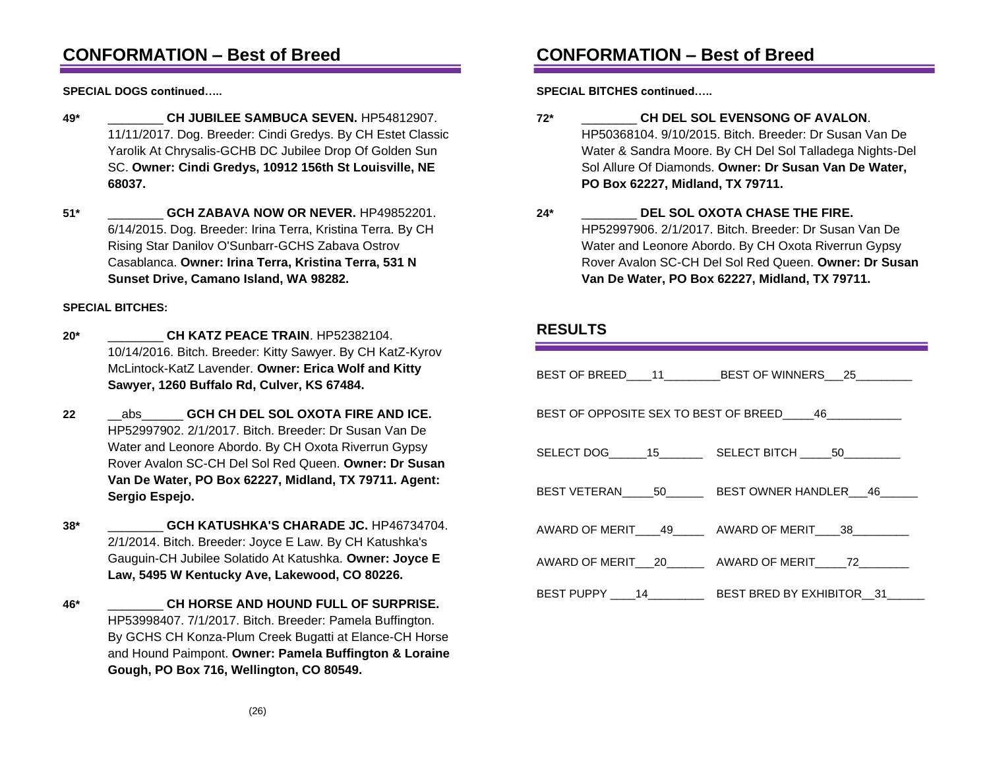## **CONFORMATION – Best of Breed**

**SPECIAL DOGS continued…..**

- **49\*** \_\_\_\_\_\_\_\_ **CH JUBILEE SAMBUCA SEVEN.** HP54812907. 11/11/2017. Dog. Breeder: Cindi Gredys. By CH Estet Classic Yarolik At Chrysalis-GCHB DC Jubilee Drop Of Golden Sun SC. **Owner: Cindi Gredys, 10912 156th St Louisville, NE 68037.**
- **51\*** \_\_\_\_\_\_\_\_ **GCH ZABAVA NOW OR NEVER.** HP49852201. 6/14/2015. Dog. Breeder: Irina Terra, Kristina Terra. By CH Rising Star Danilov O'Sunbarr-GCHS Zabava Ostrov Casablanca. **Owner: Irina Terra, Kristina Terra, 531 N Sunset Drive, Camano Island, WA 98282.**

### **SPECIAL BITCHES:**

- **20\*** \_\_\_\_\_\_\_\_ **CH KATZ PEACE TRAIN**. HP52382104. 10/14/2016. Bitch. Breeder: Kitty Sawyer. By CH KatZ-Kyrov McLintock-KatZ Lavender. **Owner: Erica Wolf and Kitty Sawyer, 1260 Buffalo Rd, Culver, KS 67484.**
- **22** \_\_abs\_\_\_\_\_\_ **GCH CH DEL SOL OXOTA FIRE AND ICE.** HP52997902. 2/1/2017. Bitch. Breeder: Dr Susan Van De Water and Leonore Abordo. By CH Oxota Riverrun Gypsy Rover Avalon SC-CH Del Sol Red Queen. **Owner: Dr Susan Van De Water, PO Box 62227, Midland, TX 79711. Agent: Sergio Espejo.**
- **38\*** \_\_\_\_\_\_\_\_ **GCH KATUSHKA'S CHARADE JC.** HP46734704. 2/1/2014. Bitch. Breeder: Joyce E Law. By CH Katushka's Gauguin-CH Jubilee Solatido At Katushka. **Owner: Joyce E Law, 5495 W Kentucky Ave, Lakewood, CO 80226.**
- **46\*** \_\_\_\_\_\_\_\_ **CH HORSE AND HOUND FULL OF SURPRISE.** HP53998407. 7/1/2017. Bitch. Breeder: Pamela Buffington. By GCHS CH Konza-Plum Creek Bugatti at Elance-CH Horse and Hound Paimpont. **Owner: Pamela Buffington & Loraine Gough, PO Box 716, Wellington, CO 80549.**

# **CONFORMATION – Best of Breed**

**SPECIAL BITCHES continued…..**

- **72\*** \_\_\_\_\_\_\_\_ **CH DEL SOL EVENSONG OF AVALON**. HP50368104. 9/10/2015. Bitch. Breeder: Dr Susan Van De Water & Sandra Moore. By CH Del Sol Talladega Nights-Del Sol Allure Of Diamonds. **Owner: Dr Susan Van De Water, PO Box 62227, Midland, TX 79711.**
- **24\*** \_\_\_\_\_\_\_\_ **DEL SOL OXOTA CHASE THE FIRE.** HP52997906. 2/1/2017. Bitch. Breeder: Dr Susan Van De Water and Leonore Abordo. By CH Oxota Riverrun Gypsy Rover Avalon SC-CH Del Sol Red Queen. **Owner: Dr Susan Van De Water, PO Box 62227, Midland, TX 79711.**

### **RESULTS**

|                                          | BEST OF BREED____11___________BEST OF WINNERS___25__________          |  |  |  |  |
|------------------------------------------|-----------------------------------------------------------------------|--|--|--|--|
| BEST OF OPPOSITE SEX TO BEST OF BREED 46 |                                                                       |  |  |  |  |
|                                          | SELECT DOG_______15_____________SELECT BITCH ______50__________       |  |  |  |  |
|                                          | BEST VETERAN______50_________BEST OWNER HANDLER___46_______           |  |  |  |  |
|                                          | AWARD OF MERIT 49 AWARD OF MERIT 38                                   |  |  |  |  |
|                                          | AWARD OF MERIT 20 AWARD OF MERIT 72                                   |  |  |  |  |
|                                          | BEST PUPPY _____ 14______________ BEST BRED BY EXHIBITOR___ 31_______ |  |  |  |  |